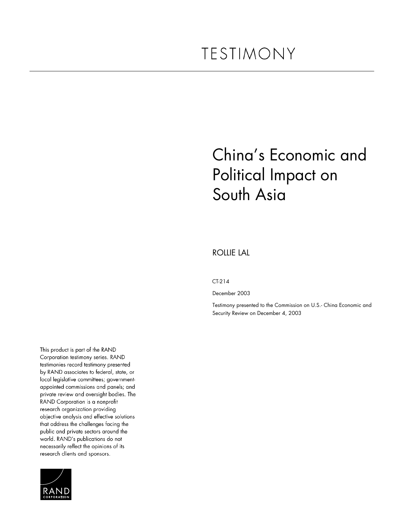# China's Economic and Political Impact on South Asia

#### ROLLIE LAL

#### CT-214

December 2003

Testimony presented to the Commission on U.S.- China Economic and Security Review on December 4, 2003

This product is part of the RAND Corporation testimony series. RAND testimonies record testimony presented by RAND associates to federal, state, or local legislative committees; governmentappointed commissions and panels; and private review and oversight bodies. The RAND Corporation is a nonprofit research organization providing objective analysis and effective solutions that address the challenges facing the public and private sectors around the world. RAND's publications do not necessarily reflect the opinions of its research clients and sponsors.

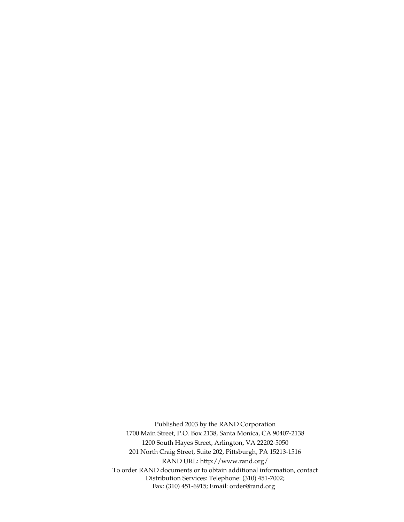Published 2003 by the RAND Corporation 1700 Main Street, P.O. Box 2138, Santa Monica, CA 90407-2138 1200 South Hayes Street, Arlington, VA 22202-5050 201 North Craig Street, Suite 202, Pittsburgh, PA 15213-1516 RAND URL: http://www.rand.org/ To order RAND documents or to obtain additional information, contact Distribution Services: Telephone: (310) 451-7002; Fax: (310) 451-6915; Email: order@rand.org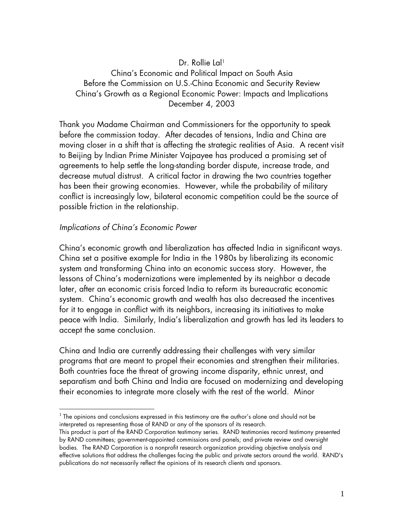# Dr. Rollie Lal<sup>1</sup>

China's Economic and Political Impact on South Asia Before the Commission on U.S.-China Economic and Security Review China's Growth as a Regional Economic Power: Impacts and Implications December 4, 2003

Thank you Madame Chairman and Commissioners for the opportunity to speak before the commission today. After decades of tensions, India and China are moving closer in a shift that is affecting the strategic realities of Asia. A recent visit to Beijing by Indian Prime Minister Vajpayee has produced a promising set of agreements to help settle the long-standing border dispute, increase trade, and decrease mutual distrust. A critical factor in drawing the two countries together has been their growing economies. However, while the probability of military conflict is increasingly low, bilateral economic competition could be the source of possible friction in the relationship.

### Implications of China's Economic Power

China's economic growth and liberalization has affected India in significant ways. China set a positive example for India in the 1980s by liberalizing its economic system and transforming China into an economic success story. However, the lessons of China's modernizations were implemented by its neighbor a decade later, after an economic crisis forced India to reform its bureaucratic economic system. China's economic growth and wealth has also decreased the incentives for it to engage in conflict with its neighbors, increasing its initiatives to make peace with India. Similarly, India's liberalization and growth has led its leaders to accept the same conclusion.

China and India are currently addressing their challenges with very similar programs that are meant to propel their economies and strengthen their militaries. Both countries face the threat of growing income disparity, ethnic unrest, and separatism and both China and India are focused on modernizing and developing their economies to integrate more closely with the rest of the world. Minor

<span id="page-2-0"></span> $1$  The opinions and conclusions expressed in this testimony are the author's alone and should not be interpreted as representing those of RAND or any of the sponsors of its research.

This product is part of the RAND Corporation testimony series. RAND testimonies record testimony presented by RAND committees; government-appointed commissions and panels; and private review and oversight bodies. The RAND Corporation is a nonprofit research organization providing objective analysis and effective solutions that address the challenges facing the public and private sectors around the world. RAND's publications do not necessarily reflect the opinions of its research clients and sponsors.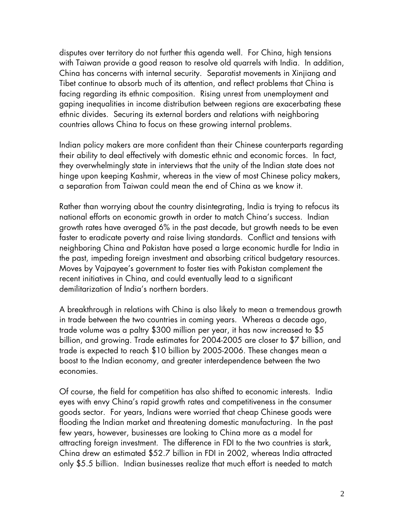disputes over territory do not further this agenda well. For China, high tensions with Taiwan provide a good reason to resolve old quarrels with India. In addition, China has concerns with internal security. Separatist movements in Xinjiang and Tibet continue to absorb much of its attention, and reflect problems that China is facing regarding its ethnic composition. Rising unrest from unemployment and gaping inequalities in income distribution between regions are exacerbating these ethnic divides. Securing its external borders and relations with neighboring countries allows China to focus on these growing internal problems.

Indian policy makers are more confident than their Chinese counterparts regarding their ability to deal effectively with domestic ethnic and economic forces. In fact, they overwhelmingly state in interviews that the unity of the Indian state does not hinge upon keeping Kashmir, whereas in the view of most Chinese policy makers, a separation from Taiwan could mean the end of China as we know it.

Rather than worrying about the country disintegrating, India is trying to refocus its national efforts on economic growth in order to match China's success. Indian growth rates have averaged 6% in the past decade, but growth needs to be even faster to eradicate poverty and raise living standards. Conflict and tensions with neighboring China and Pakistan have posed a large economic hurdle for India in the past, impeding foreign investment and absorbing critical budgetary resources. Moves by Vajpayee's government to foster ties with Pakistan complement the recent initiatives in China, and could eventually lead to a significant demilitarization of India's northern borders.

A breakthrough in relations with China is also likely to mean a tremendous growth in trade between the two countries in coming years. Whereas a decade ago, trade volume was a paltry \$300 million per year, it has now increased to \$5 billion, and growing. Trade estimates for 2004-2005 are closer to \$7 billion, and trade is expected to reach \$10 billion by 2005-2006. These changes mean a boost to the Indian economy, and greater interdependence between the two economies.

Of course, the field for competition has also shifted to economic interests. India eyes with envy China's rapid growth rates and competitiveness in the consumer goods sector. For years, Indians were worried that cheap Chinese goods were flooding the Indian market and threatening domestic manufacturing. In the past few years, however, businesses are looking to China more as a model for attracting foreign investment. The difference in FDI to the two countries is stark, China drew an estimated \$52.7 billion in FDI in 2002, whereas India attracted only \$5.5 billion. Indian businesses realize that much effort is needed to match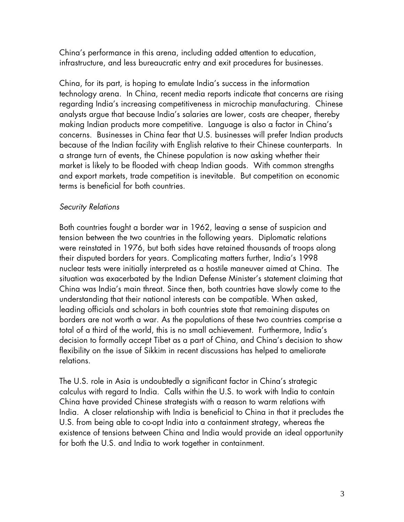China's performance in this arena, including added attention to education, infrastructure, and less bureaucratic entry and exit procedures for businesses.

China, for its part, is hoping to emulate India's success in the information technology arena. In China, recent media reports indicate that concerns are rising regarding India's increasing competitiveness in microchip manufacturing. Chinese analysts argue that because India's salaries are lower, costs are cheaper, thereby making Indian products more competitive. Language is also a factor in China's concerns. Businesses in China fear that U.S. businesses will prefer Indian products because of the Indian facility with English relative to their Chinese counterparts. In a strange turn of events, the Chinese population is now asking whether their market is likely to be flooded with cheap Indian goods. With common strengths and export markets, trade competition is inevitable. But competition on economic terms is beneficial for both countries.

# Security Relations

Both countries fought a border war in 1962, leaving a sense of suspicion and tension between the two countries in the following years. Diplomatic relations were reinstated in 1976, but both sides have retained thousands of troops along their disputed borders for years. Complicating matters further, India's 1998 nuclear tests were initially interpreted as a hostile maneuver aimed at China. The situation was exacerbated by the Indian Defense Minister's statement claiming that China was India's main threat. Since then, both countries have slowly come to the understanding that their national interests can be compatible. When asked, leading officials and scholars in both countries state that remaining disputes on borders are not worth a war. As the populations of these two countries comprise a total of a third of the world, this is no small achievement. Furthermore, India's decision to formally accept Tibet as a part of China, and China's decision to show flexibility on the issue of Sikkim in recent discussions has helped to ameliorate relations.

The U.S. role in Asia is undoubtedly a significant factor in China's strategic calculus with regard to India. Calls within the U.S. to work with India to contain China have provided Chinese strategists with a reason to warm relations with India. A closer relationship with India is beneficial to China in that it precludes the U.S. from being able to co-opt India into a containment strategy, whereas the existence of tensions between China and India would provide an ideal opportunity for both the U.S. and India to work together in containment.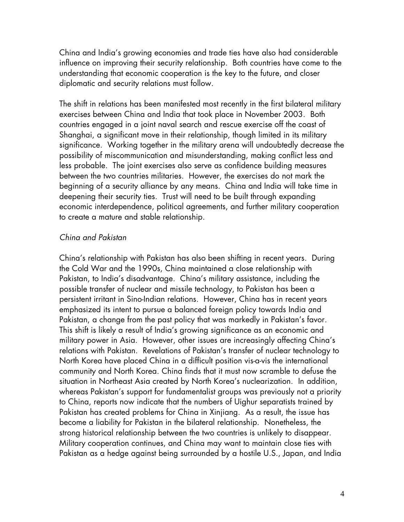China and India's growing economies and trade ties have also had considerable influence on improving their security relationship. Both countries have come to the understanding that economic cooperation is the key to the future, and closer diplomatic and security relations must follow.

The shift in relations has been manifested most recently in the first bilateral military exercises between China and India that took place in November 2003. Both countries engaged in a joint naval search and rescue exercise off the coast of Shanghai, a significant move in their relationship, though limited in its military significance. Working together in the military arena will undoubtedly decrease the possibility of miscommunication and misunderstanding, making conflict less and less probable. The joint exercises also serve as confidence building measures between the two countries militaries. However, the exercises do not mark the beginning of a security alliance by any means. China and India will take time in deepening their security ties. Trust will need to be built through expanding economic interdependence, political agreements, and further military cooperation to create a mature and stable relationship.

# China and Pakistan

China's relationship with Pakistan has also been shifting in recent years. During the Cold War and the 1990s, China maintained a close relationship with Pakistan, to India's disadvantage. China's military assistance, including the possible transfer of nuclear and missile technology, to Pakistan has been a persistent irritant in Sino-Indian relations. However, China has in recent years emphasized its intent to pursue a balanced foreign policy towards India and Pakistan, a change from the past policy that was markedly in Pakistan's favor. This shift is likely a result of India's growing significance as an economic and military power in Asia. However, other issues are increasingly affecting China's relations with Pakistan. Revelations of Pakistan's transfer of nuclear technology to North Korea have placed China in a difficult position vis-a-vis the international community and North Korea. China finds that it must now scramble to defuse the situation in Northeast Asia created by North Korea's nuclearization. In addition, whereas Pakistan's support for fundamentalist groups was previously not a priority to China, reports now indicate that the numbers of Uighur separatists trained by Pakistan has created problems for China in Xinjiang. As a result, the issue has become a liability for Pakistan in the bilateral relationship. Nonetheless, the strong historical relationship between the two countries is unlikely to disappear. Military cooperation continues, and China may want to maintain close ties with Pakistan as a hedge against being surrounded by a hostile U.S., Japan, and India